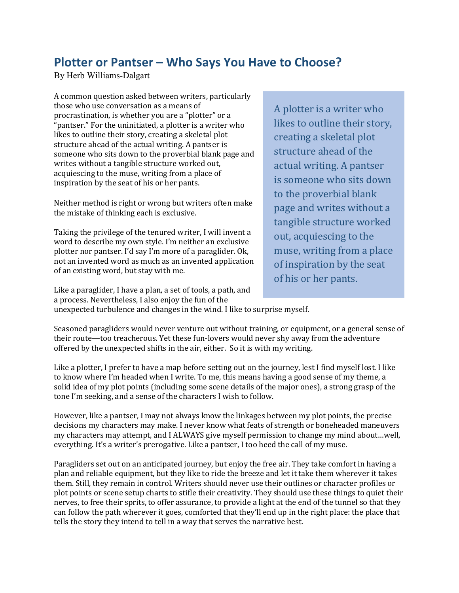## Plotter or Pantser – Who Says You Have to Choose?

By Herb Williams-Dalgart

A common question asked between writers, particularly those who use conversation as a means of procrastination, is whether you are a "plotter" or a "pantser." For the uninitiated, a plotter is a writer who likes to outline their story, creating a skeletal plot structure ahead of the actual writing. A pantser is someone who sits down to the proverbial blank page and writes without a tangible structure worked out, acquiescing to the muse, writing from a place of inspiration by the seat of his or her pants.

Neither method is right or wrong but writers often make the mistake of thinking each is exclusive.

Taking the privilege of the tenured writer, I will invent a word to describe my own style. I'm neither an exclusive plotter nor pantser. I'd say I'm more of a paraglider. Ok, not an invented word as much as an invented application of an existing word, but stay with me.

A plotter is a writer who likes to outline their story, creating a skeletal plot structure ahead of the actual writing. A pantser is someone who sits down to the proverbial blank page and writes without a tangible structure worked out, acquiescing to the muse, writing from a place of inspiration by the seat of his or her pants.

Like a paraglider, I have a plan, a set of tools, a path, and a process. Nevertheless, I also enjoy the fun of the unexpected turbulence and changes in the wind. I like to surprise myself.

Seasoned paragliders would never venture out without training, or equipment, or a general sense of their route—too treacherous. Yet these fun-lovers would never shy away from the adventure offered by the unexpected shifts in the air, either. So it is with my writing.

Like a plotter, I prefer to have a map before setting out on the journey, lest I find myself lost. I like to know where I'm headed when I write. To me, this means having a good sense of my theme, a solid idea of my plot points (including some scene details of the major ones), a strong grasp of the tone I'm seeking, and a sense of the characters I wish to follow.

However, like a pantser, I may not always know the linkages between my plot points, the precise decisions my characters may make. I never know what feats of strength or boneheaded maneuvers my characters may attempt, and I ALWAYS give myself permission to change my mind about…well, everything. It's a writer's prerogative. Like a pantser, I too heed the call of my muse.

Paragliders set out on an anticipated journey, but enjoy the free air. They take comfort in having a plan and reliable equipment, but they like to ride the breeze and let it take them wherever it takes them. Still, they remain in control. Writers should never use their outlines or character profiles or plot points or scene setup charts to stifle their creativity. They should use these things to quiet their nerves, to free their sprits, to offer assurance, to provide a light at the end of the tunnel so that they can follow the path wherever it goes, comforted that they'll end up in the right place: the place that tells the story they intend to tell in a way that serves the narrative best.